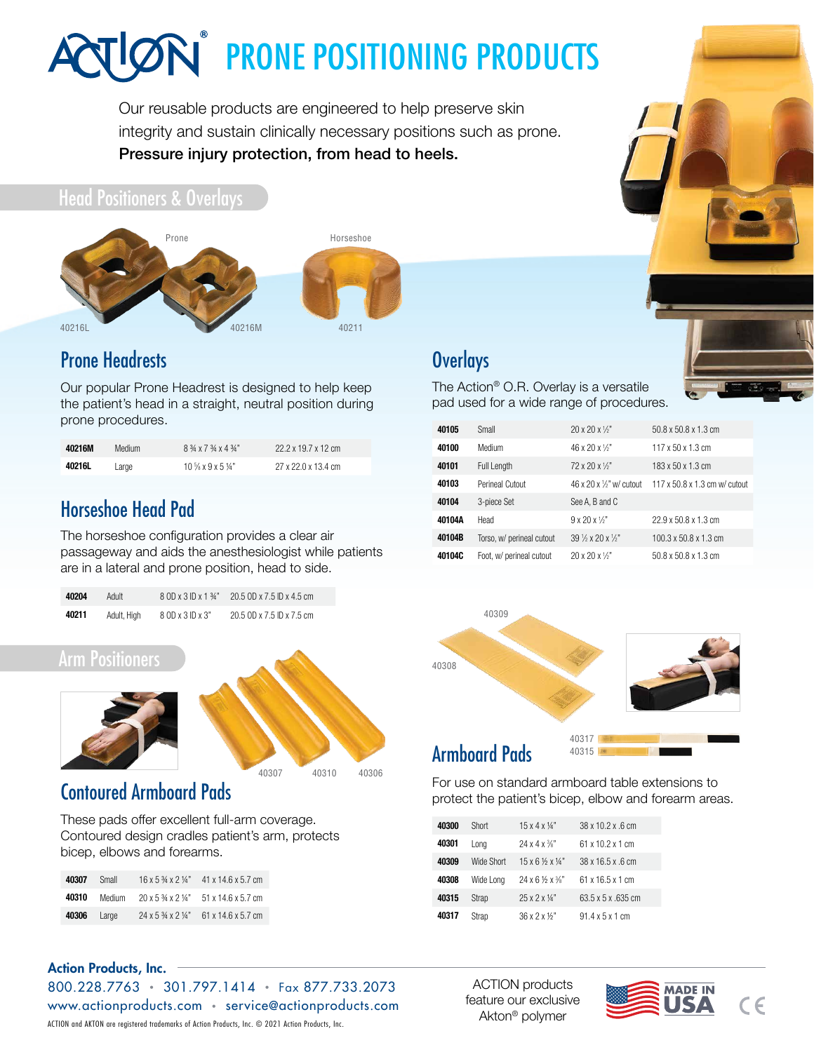# **IGN** PRONE POSITIONING PRODUCTS

Our reusable products are engineered to help preserve skin integrity and sustain clinically necessary positions such as prone. Pressure injury protection, from head to heels.

# Head Positioners & Overlays





# [Prone Headrests](https://www.actionproducts.com/hospital-products/head-pads/prone-headrest.html)

Our popular Prone Headrest is designed to help keep the patient's head in a straight, neutral position during prone procedures.

| 40216M | Medium | 8 3/4 x 7 3/4 x 4 3/4"       | 22.2 x 19.7 x 12 cm |
|--------|--------|------------------------------|---------------------|
| 40216L | Large  | $10\frac{1}{8}$ x 9 x 5 1/4" | 27 x 22.0 x 13.4 cm |

# [Horseshoe Head Pad](https://www.actionproducts.com/hospital-products/head-pads/horseshoe-head-pad.html)

The horseshoe configuration provides a clear air passageway and aids the anesthesiologist while patients are in a lateral and prone position, head to side.

| 40204 | Adult       | $8$ OD x $3$ ID x 1 $\frac{3}{4}$ " | 20.5 OD x 7.5 ID x 4.5 cm |
|-------|-------------|-------------------------------------|---------------------------|
| 40211 | Adult, High | 8 OD x 3 ID x 3"                    | 20.5 OD x 7.5 ID x 7.5 cm |

## Arm Positioners



# 40307 40310 [40306](https://www.actionproducts.com/hospital-products/arm-shoulder-elbow-pads/contoured-armboard-pad.html)

# [Contoured Armboard Pads](https://www.actionproducts.com/hospital-products/arm-shoulder-elbow-pads/contoured-armboard-pad.html)

These pads offer excellent full-arm coverage. Contoured design cradles patient's arm, protects bicep, elbows and forearms.

| 40307 | Small  | $16 \times 5\frac{3}{4} \times 2\frac{1}{4}$ | 41 x 14.6 x 5.7 cm |
|-------|--------|----------------------------------------------|--------------------|
| 40310 | Medium | $20 \times 5\frac{3}{4} \times 2\frac{1}{4}$ | 51 x 14.6 x 5.7 cm |
| 40306 | Large  | 24 x 5 3/4 x 2 1/4"                          | 61 x 14.6 x 5.7 cm |

# **[Overlays](https://www.actionproducts.com/hospital-products/overlays.html)**

The Action® O.R. Overlay is a ve[rsatile](https://www.actionproducts.com/hospital-products/overlays.html)  pad used for a wide range of procedures.



#### For use on standard armboard table extensions to protect the patient's bicep, elbow and forearm areas.

| 40300 | Short        | $15x4x\frac{1}{4}$                               | 38 x 10 2 x 6 cm            |
|-------|--------------|--------------------------------------------------|-----------------------------|
| 40301 | Lona         | $24 \times 4 \times \frac{3}{8}$ "               | 61 x 10 2 x 1 cm            |
| 40309 | Wide Short   | $15 \times 6 \times 14$ "                        | 38 x 16.5 x .6 cm           |
| 40308 | Wide Long    | $24 \times 6$ $\frac{1}{2} \times \frac{3}{8}$ " | 61 x 16 5 x 1 cm            |
| 40315 | <b>Strap</b> | $25 \times 2 \times 14"$                         | 63.5 x 5 x 635 cm           |
| 40317 | Strap        | $36 \times 2 \times 12$                          | $91.4 \times 5 \times 1$ cm |

#### Action Products, Inc.

800.228.7763 • 301.797.1414 • Fax 877.733.2073 [www.actionproducts.com](https://www.actionproducts.com) • service@actionproducts.com ACTION and AKTON are registered trademarks of Action Products, Inc. © 2021 Action Products, Inc.

ACTION products feature our exclusive Akton® polymer